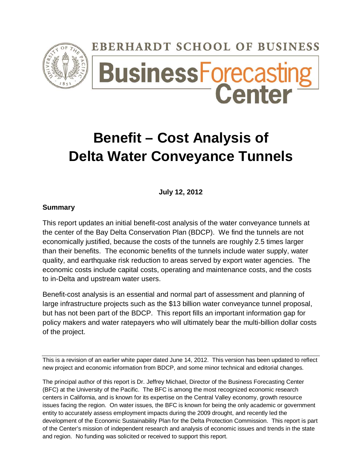# **EBERHARDT SCHOOL OF BUSINESS**



# **BusinessForecastir**<br>Center

# **Benefit – Cost Analysis of Delta Water Conveyance Tunnels**

**July 12, 2012**

## **Summary**

This report updates an initial benefit-cost analysis of the water conveyance tunnels at the center of the Bay Delta Conservation Plan (BDCP). We find the tunnels are not economically justified, because the costs of the tunnels are roughly 2.5 times larger than their benefits. The economic benefits of the tunnels include water supply, water quality, and earthquake risk reduction to areas served by export water agencies. The economic costs include capital costs, operating and maintenance costs, and the costs to in-Delta and upstream water users.

Benefit-cost analysis is an essential and normal part of assessment and planning of large infrastructure projects such as the \$13 billion water conveyance tunnel proposal, but has not been part of the BDCP. This report fills an important information gap for policy makers and water ratepayers who will ultimately bear the multi-billion dollar costs of the project.

This is a revision of an earlier white paper dated June 14, 2012. This version has been updated to reflect new project and economic information from BDCP, and some minor technical and editorial changes.

The principal author of this report is Dr. Jeffrey Michael, Director of the Business Forecasting Center (BFC) at the University of the Pacific. The BFC is among the most recognized economic research centers in California, and is known for its expertise on the Central Valley economy, growth resource issues facing the region. On water issues, the BFC is known for being the only academic or government entity to accurately assess employment impacts during the 2009 drought, and recently led the development of the Economic Sustainability Plan for the Delta Protection Commission. This report is part of the Center's mission of independent research and analysis of economic issues and trends in the state and region. No funding was solicited or received to support this report.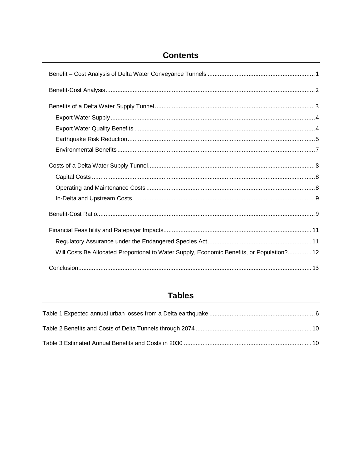# **Contents**

| Will Costs Be Allocated Proportional to Water Supply, Economic Benefits, or Population? 12 |
|--------------------------------------------------------------------------------------------|
|                                                                                            |

# **Tables**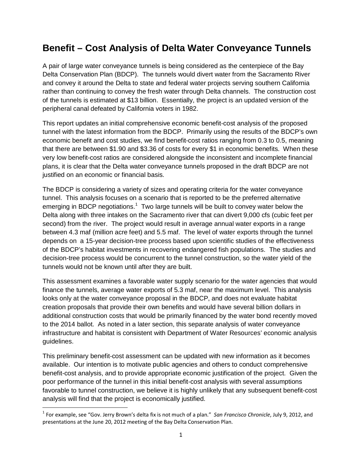# <span id="page-2-0"></span>**Benefit – Cost Analysis of Delta Water Conveyance Tunnels**

A pair of large water conveyance tunnels is being considered as the centerpiece of the Bay Delta Conservation Plan (BDCP). The tunnels would divert water from the Sacramento River and convey it around the Delta to state and federal water projects serving southern California rather than continuing to convey the fresh water through Delta channels. The construction cost of the tunnels is estimated at \$13 billion. Essentially, the project is an updated version of the peripheral canal defeated by California voters in 1982.

This report updates an initial comprehensive economic benefit-cost analysis of the proposed tunnel with the latest information from the BDCP. Primarily using the results of the BDCP's own economic benefit and cost studies, we find benefit-cost ratios ranging from 0.3 to 0.5, meaning that there are between \$1.90 and \$3.36 of costs for every \$1 in economic benefits. When these very low benefit-cost ratios are considered alongside the inconsistent and incomplete financial plans, it is clear that the Delta water conveyance tunnels proposed in the draft BDCP are not justified on an economic or financial basis.

The BDCP is considering a variety of sizes and operating criteria for the water conveyance tunnel. This analysis focuses on a scenario that is reported to be the preferred alternative emerging in BDCP negotiations.<sup>[1](#page-2-1)</sup> Two large tunnels will be built to convey water below the Delta along with three intakes on the Sacramento river that can divert 9,000 cfs (cubic feet per second) from the river. The project would result in average annual water exports in a range between 4.3 maf (million acre feet) and 5.5 maf. The level of water exports through the tunnel depends on a 15-year decision-tree process based upon scientific studies of the effectiveness of the BDCP's habitat investments in recovering endangered fish populations. The studies and decision-tree process would be concurrent to the tunnel construction, so the water yield of the tunnels would not be known until after they are built.

This assessment examines a favorable water supply scenario for the water agencies that would finance the tunnels, average water exports of 5.3 maf, near the maximum level. This analysis looks only at the water conveyance proposal in the BDCP, and does not evaluate habitat creation proposals that provide their own benefits and would have several billion dollars in additional construction costs that would be primarily financed by the water bond recently moved to the 2014 ballot. As noted in a later section, this separate analysis of water conveyance infrastructure and habitat is consistent with Department of Water Resources' economic analysis guidelines.

This preliminary benefit-cost assessment can be updated with new information as it becomes available. Our intention is to motivate public agencies and others to conduct comprehensive benefit-cost analysis, and to provide appropriate economic justification of the project. Given the poor performance of the tunnel in this initial benefit-cost analysis with several assumptions favorable to tunnel construction, we believe it is highly unlikely that any subsequent benefit-cost analysis will find that the project is economically justified.

<span id="page-2-1"></span> <sup>1</sup> For example, see "Gov. Jerry Brown's delta fix is not much of a plan." *San Francisco Chronicle*, July 9, 2012, and presentations at the June 20, 2012 meeting of the Bay Delta Conservation Plan.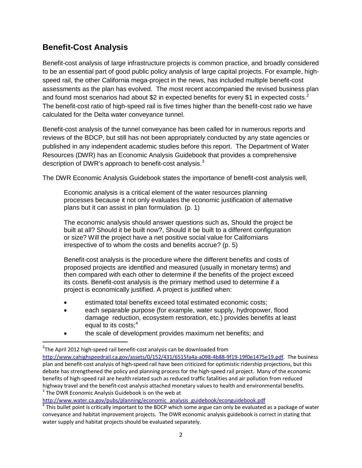# <span id="page-3-0"></span>**Benefit-Cost Analysis**

Benefit-cost analysis of large infrastructure projects is common practice, and broadly considered to be an essential part of good public policy analysis of large capital projects. For example, highspeed rail, the other California mega-project in the news, has included multiple benefit-cost assessments as the plan has evolved. The most recent accompanied the revised business plan and found most scenarios had about \$[2](#page-3-1) in expected benefits for every \$1 in expected costs.<sup>2</sup> The benefit-cost ratio of high-speed rail is five times higher than the benefit-cost ratio we have calculated for the Delta water conveyance tunnel.

Benefit-cost analysis of the tunnel conveyance has been called for in numerous reports and reviews of the BDCP, but still has not been appropriately conducted by any state agencies or published in any independent academic studies before this report. The Department of Water Resources (DWR) has an Economic Analysis Guidebook that provides a comprehensive description of DWR's approach to benefit-cost analysis. $^3$  $^3$ 

The DWR Economic Analysis Guidebook states the importance of benefit-cost analysis well,

Economic analysis is a critical element of the water resources planning processes because it not only evaluates the economic justification of alternative plans but it can assist in plan formulation. (p. 1)

The economic analysis should answer questions such as, Should the project be built at all? Should it be built now?, Should it be built to a different configuration or size? Will the project have a net positive social value for Californians irrespective of to whom the costs and benefits accrue? (p. 5)

Benefit-cost analysis is the procedure where the different benefits and costs of proposed projects are identified and measured (usually in monetary terms) and then compared with each other to determine if the benefits of the project exceed its costs. Benefit-cost analysis is the primary method used to determine if a project is economically justified. A project is justified when:

- estimated total benefits exceed total estimated economic costs:
- each separable purpose (for example, water supply, hydropower, flood damage reduction, ecosystem restoration, etc.) provides benefits at least equal to its costs; $<sup>4</sup>$  $<sup>4</sup>$  $<sup>4</sup>$ </sup>
- the scale of development provides maximum net benefits; and

<span id="page-3-2"></span>[http://www.water.ca.gov/pubs/planning/economic\\_analysis\\_guidebook/econguidebook.pdf](http://www.water.ca.gov/pubs/planning/economic_analysis_guidebook/econguidebook.pdf)

<span id="page-3-1"></span> $\overline{2}$  $2$ The April 2012 high-speed rail benefit-cost analysis can be downloaded from [http://www.cahighspeedrail.ca.gov/assets/0/152/431/6515fa4a-a098-4b88-9f19-19f0e1475e19.pdf.](http://www.cahighspeedrail.ca.gov/assets/0/152/431/6515fa4a-a098-4b88-9f19-19f0e1475e19.pdf) The business plan and benefit-cost analysis of high-speed rail have been criticized for optimistic ridership projections, but this debate has strengthened the policy and planning process for the high-speed rail project. Many of the economic benefits of high-speed rail are health related such as reduced traffic fatalities and air pollution from reduced highway travel and the benefit-cost analysis attached monetary values to health and environmental benefits.  $3$  The DWR Economic Analysis Guidebook is on the web at

<span id="page-3-3"></span> $4$  This bullet point is critically important to the BDCP which some argue can only be evaluated as a package of water conveyance and habitat improvement projects. The DWR economic analysis guidebook is correct in stating that water supply and habitat projects should be evaluated separately.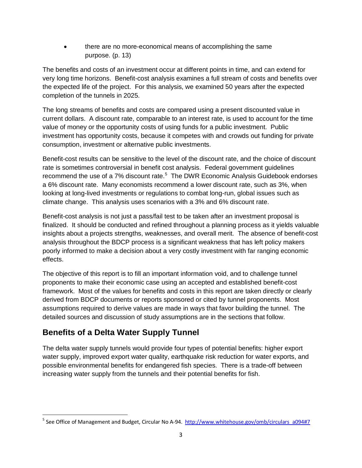• there are no more-economical means of accomplishing the same purpose. (p. 13)

The benefits and costs of an investment occur at different points in time, and can extend for very long time horizons. Benefit-cost analysis examines a full stream of costs and benefits over the expected life of the project. For this analysis, we examined 50 years after the expected completion of the tunnels in 2025.

The long streams of benefits and costs are compared using a present discounted value in current dollars. A discount rate, comparable to an interest rate, is used to account for the time value of money or the opportunity costs of using funds for a public investment. Public investment has opportunity costs, because it competes with and crowds out funding for private consumption, investment or alternative public investments.

Benefit-cost results can be sensitive to the level of the discount rate, and the choice of discount rate is sometimes controversial in benefit cost analysis. Federal government guidelines recommend the use of a 7% discount rate.<sup>[5](#page-4-1)</sup> The DWR Economic Analysis Guidebook endorses a 6% discount rate. Many economists recommend a lower discount rate, such as 3%, when looking at long-lived investments or regulations to combat long-run, global issues such as climate change. This analysis uses scenarios with a 3% and 6% discount rate.

Benefit-cost analysis is not just a pass/fail test to be taken after an investment proposal is finalized. It should be conducted and refined throughout a planning process as it yields valuable insights about a projects strengths, weaknesses, and overall merit. The absence of benefit-cost analysis throughout the BDCP process is a significant weakness that has left policy makers poorly informed to make a decision about a very costly investment with far ranging economic effects.

The objective of this report is to fill an important information void, and to challenge tunnel proponents to make their economic case using an accepted and established benefit-cost framework. Most of the values for benefits and costs in this report are taken directly or clearly derived from BDCP documents or reports sponsored or cited by tunnel proponents. Most assumptions required to derive values are made in ways that favor building the tunnel. The detailed sources and discussion of study assumptions are in the sections that follow.

# <span id="page-4-0"></span>**Benefits of a Delta Water Supply Tunnel**

The delta water supply tunnels would provide four types of potential benefits: higher export water supply, improved export water quality, earthquake risk reduction for water exports, and possible environmental benefits for endangered fish species. There is a trade-off between increasing water supply from the tunnels and their potential benefits for fish.

<span id="page-4-1"></span><sup>&</sup>lt;sup>5</sup> See Office of Management and Budget, Circular No A-94. [http://www.whitehouse.gov/omb/circulars\\_a094#7](http://www.whitehouse.gov/omb/circulars_a094#7)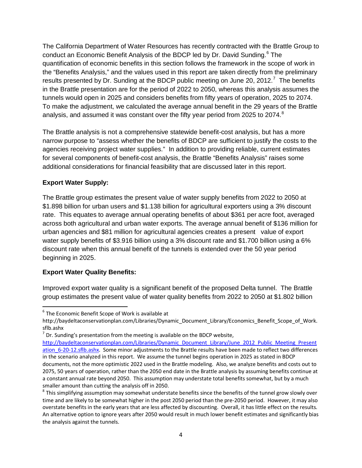The California Department of Water Resources has recently contracted with the Brattle Group to conduct an Economic Benefit Analysis of the BDCP led by Dr. David Sunding.<sup>[6](#page-5-2)</sup> The quantification of economic benefits in this section follows the framework in the scope of work in the "Benefits Analysis," and the values used in this report are taken directly from the preliminary results presented by Dr. Sunding at the BDCP public meeting on June 20, 2012.<sup>[7](#page-5-3)</sup> The benefits in the Brattle presentation are for the period of 2022 to 2050, whereas this analysis assumes the tunnels would open in 2025 and considers benefits from fifty years of operation, 2025 to 2074. To make the adjustment, we calculated the average annual benefit in the 29 years of the Brattle analysis, and assumed it was constant over the fifty year period from 2025 to 2074. $^8$  $^8$ 

The Brattle analysis is not a comprehensive statewide benefit-cost analysis, but has a more narrow purpose to "assess whether the benefits of BDCP are sufficient to justify the costs to the agencies receiving project water supplies." In addition to providing reliable, current estimates for several components of benefit-cost analysis, the Brattle "Benefits Analysis" raises some additional considerations for financial feasibility that are discussed later in this report.

#### <span id="page-5-0"></span>**Export Water Supply:**

The Brattle group estimates the present value of water supply benefits from 2022 to 2050 at \$1.898 billion for urban users and \$1.138 billion for agricultural exporters using a 3% discount rate. This equates to average annual operating benefits of about \$361 per acre foot, averaged across both agricultural and urban water exports. The average annual benefit of \$136 million for urban agencies and \$81 million for agricultural agencies creates a present value of export water supply benefits of \$3.916 billion using a 3% discount rate and \$1.700 billion using a 6% discount rate when this annual benefit of the tunnels is extended over the 50 year period beginning in 2025.

#### <span id="page-5-1"></span>**Export Water Quality Benefits:**

Improved export water quality is a significant benefit of the proposed Delta tunnel. The Brattle group estimates the present value of water quality benefits from 2022 to 2050 at \$1.802 billion

<span id="page-5-2"></span> $6$  The Economic Benefit Scope of Work is available at

http://baydeltaconservationplan.com/Libraries/Dynamic\_Document\_Library/Economics\_Benefit\_Scope\_of\_Work. sflb.ashx

<span id="page-5-3"></span> $<sup>7</sup>$  Dr. Sunding's presentation from the meeting is available on the BDCP website,</sup>

[http://baydeltaconservationplan.com/Libraries/Dynamic\\_Document\\_Library/June\\_2012\\_Public\\_Meeting\\_Present](http://baydeltaconservationplan.com/Libraries/Dynamic_Document_Library/June_2012_Public_Meeting_Presentation_6-20-12.sflb.ashx) ation 6-20-12.sflb.ashx. Some minor adjustments to the Brattle results have been made to reflect two differences in the scenario analyzed in this report. We assume the tunnel begins operation in 2025 as stated in BDCP documents, not the more optimistic 2022 used in the Brattle modeling. Also, we analyze benefits and costs out to 2075, 50 years of operation, rather than the 2050 end date in the Brattle analysis by assuming benefits continue at a constant annual rate beyond 2050. This assumption may understate total benefits somewhat, but by a much smaller amount than cutting the analysis off in 2050.<br><sup>8</sup> This simplifying assumption may somewhat understate benefits since the benefits of the tunnel grow slowly over

<span id="page-5-4"></span>time and are likely to be somewhat higher in the post 2050 period than the pre-2050 period. However, it may also overstate benefits in the early years that are less affected by discounting. Overall, it has little effect on the results. An alternative option to ignore years after 2050 would result in much lower benefit estimates and significantly bias the analysis against the tunnels.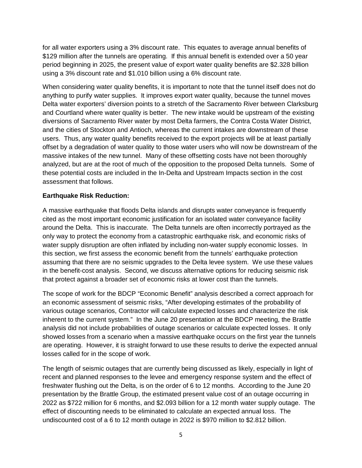for all water exporters using a 3% discount rate. This equates to average annual benefits of \$129 million after the tunnels are operating. If this annual benefit is extended over a 50 year period beginning in 2025, the present value of export water quality benefits are \$2.328 billion using a 3% discount rate and \$1.010 billion using a 6% discount rate.

When considering water quality benefits, it is important to note that the tunnel itself does not do anything to purify water supplies. It improves export water quality, because the tunnel moves Delta water exporters' diversion points to a stretch of the Sacramento River between Clarksburg and Courtland where water quality is better. The new intake would be upstream of the existing diversions of Sacramento River water by most Delta farmers, the Contra Costa Water District, and the cities of Stockton and Antioch, whereas the current intakes are downstream of these users. Thus, any water quality benefits received to the export projects will be at least partially offset by a degradation of water quality to those water users who will now be downstream of the massive intakes of the new tunnel. Many of these offsetting costs have not been thoroughly analyzed, but are at the root of much of the opposition to the proposed Delta tunnels. Some of these potential costs are included in the In-Delta and Upstream Impacts section in the cost assessment that follows.

#### <span id="page-6-0"></span>**Earthquake Risk Reduction:**

A massive earthquake that floods Delta islands and disrupts water conveyance is frequently cited as the most important economic justification for an isolated water conveyance facility around the Delta. This is inaccurate. The Delta tunnels are often incorrectly portrayed as the only way to protect the economy from a catastrophic earthquake risk, and economic risks of water supply disruption are often inflated by including non-water supply economic losses. In this section, we first assess the economic benefit from the tunnels' earthquake protection assuming that there are no seismic upgrades to the Delta levee system. We use these values in the benefit-cost analysis. Second, we discuss alternative options for reducing seismic risk that protect against a broader set of economic risks at lower cost than the tunnels.

The scope of work for the BDCP "Economic Benefit" analysis described a correct approach for an economic assessment of seismic risks, "After developing estimates of the probability of various outage scenarios, Contractor will calculate expected losses and characterize the risk inherent to the current system." In the June 20 presentation at the BDCP meeting, the Brattle analysis did not include probabilities of outage scenarios or calculate expected losses. It only showed losses from a scenario when a massive earthquake occurs on the first year the tunnels are operating. However, it is straight forward to use these results to derive the expected annual losses called for in the scope of work.

The length of seismic outages that are currently being discussed as likely, especially in light of recent and planned responses to the levee and emergency response system and the effect of freshwater flushing out the Delta, is on the order of 6 to 12 months. According to the June 20 presentation by the Brattle Group, the estimated present value cost of an outage occurring in 2022 as \$722 million for 6 months, and \$2.093 billion for a 12 month water supply outage. The effect of discounting needs to be eliminated to calculate an expected annual loss. The undiscounted cost of a 6 to 12 month outage in 2022 is \$970 million to \$2.812 billion.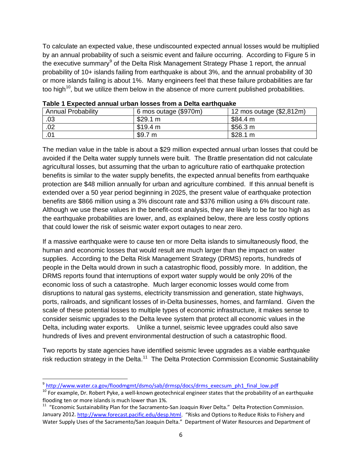To calculate an expected value, these undiscounted expected annual losses would be multiplied by an annual probability of such a seismic event and failure occurring. According to Figure 5 in the executive summary<sup>[9](#page-7-1)</sup> of the Delta Risk Management Strategy Phase 1 report, the annual probability of 10+ islands failing from earthquake is about 3%, and the annual probability of 30 or more islands failing is about 1%. Many engineers feel that these failure probabilities are far too high<sup>[10](#page-7-2)</sup>, but we utilize them below in the absence of more current published probabilities.

| <b>Annual Probability</b> | 6 mos outage (\$970m) | 12 mos outage (\$2,812m) |
|---------------------------|-----------------------|--------------------------|
| .03                       | \$29.1 m              | \$84.4 m                 |
| .02                       | \$19.4 m              | \$56.3 m                 |
| .0 <sup>1</sup>           | \$9.7 m               | \$28.1 m                 |

<span id="page-7-0"></span>

|  |  |  | Table 1 Expected annual urban losses from a Delta earthquake |  |  |
|--|--|--|--------------------------------------------------------------|--|--|
|--|--|--|--------------------------------------------------------------|--|--|

The median value in the table is about a \$29 million expected annual urban losses that could be avoided if the Delta water supply tunnels were built. The Brattle presentation did not calculate agricultural losses, but assuming that the urban to agriculture ratio of earthquake protection benefits is similar to the water supply benefits, the expected annual benefits from earthquake protection are \$48 million annually for urban and agriculture combined. If this annual benefit is extended over a 50 year period beginning in 2025, the present value of earthquake protection benefits are \$866 million using a 3% discount rate and \$376 million using a 6% discount rate. Although we use these values in the benefit-cost analysis, they are likely to be far too high as the earthquake probabilities are lower, and, as explained below, there are less costly options that could lower the risk of seismic water export outages to near zero.

If a massive earthquake were to cause ten or more Delta islands to simultaneously flood, the human and economic losses that would result are much larger than the impact on water supplies. According to the Delta Risk Management Strategy (DRMS) reports, hundreds of people in the Delta would drown in such a catastrophic flood, possibly more. In addition, the DRMS reports found that interruptions of export water supply would be only 20% of the economic loss of such a catastrophe. Much larger economic losses would come from disruptions to natural gas systems, electricity transmission and generation, state highways, ports, railroads, and significant losses of in-Delta businesses, homes, and farmland. Given the scale of these potential losses to multiple types of economic infrastructure, it makes sense to consider seismic upgrades to the Delta levee system that protect all economic values in the Delta, including water exports. Unlike a tunnel, seismic levee upgrades could also save hundreds of lives and prevent environmental destruction of such a catastrophic flood.

Two reports by state agencies have identified seismic levee upgrades as a viable earthquake risk reduction strategy in the Delta.<sup>[11](#page-7-3)</sup> The Delta Protection Commission Economic Sustainability

 <sup>9</sup> <sup>9</sup> [http://www.water.ca.gov/floodmgmt/dsmo/sab/drmsp/docs/drms\\_execsum\\_ph1\\_final\\_low.pdf](http://www.water.ca.gov/floodmgmt/dsmo/sab/drmsp/docs/drms_execsum_ph1_final_low.pdf)

<span id="page-7-2"></span><span id="page-7-1"></span><sup>&</sup>lt;sup>10</sup> For example, Dr. Robert Pyke, a well-known geotechnical engineer states that the probability of an earthquake flooding ten or more islands is much lower than 1%.

<span id="page-7-3"></span><sup>&</sup>lt;sup>11</sup> "Economic Sustainability Plan for the Sacramento-San Joaquin River Delta." Delta Protection Commission. January 2012[. http://www.forecast.pacific.edu/desp.html.](http://www.forecast.pacific.edu/desp.html) "Risks and Options to Reduce Risks to Fishery and Water Supply Uses of the Sacramento/San Joaquin Delta." Department of Water Resources and Department of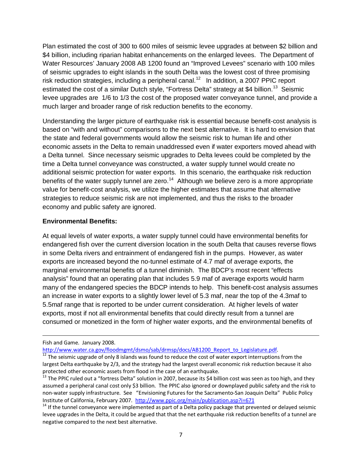Plan estimated the cost of 300 to 600 miles of seismic levee upgrades at between \$2 billion and \$4 billion, including riparian habitat enhancements on the enlarged levees. The Department of Water Resources' January 2008 AB 1200 found an "Improved Levees" scenario with 100 miles of seismic upgrades to eight islands in the south Delta was the lowest cost of three promising risk reduction strategies, including a peripheral canal.<sup>[12](#page-8-1)</sup> In addition, a 2007 PPIC report estimated the cost of a similar Dutch style, "Fortress Delta" strategy at \$4 billion.<sup>[13](#page-8-2)</sup> Seismic levee upgrades are 1/6 to 1/3 the cost of the proposed water conveyance tunnel, and provide a much larger and broader range of risk reduction benefits to the economy.

Understanding the larger picture of earthquake risk is essential because benefit-cost analysis is based on "with and without" comparisons to the next best alternative. It is hard to envision that the state and federal governments would allow the seismic risk to human life and other economic assets in the Delta to remain unaddressed even if water exporters moved ahead with a Delta tunnel. Since necessary seismic upgrades to Delta levees could be completed by the time a Delta tunnel conveyance was constructed, a water supply tunnel would create no additional seismic protection for water exports. In this scenario, the earthquake risk reduction benefits of the water supply tunnel are zero.<sup>[14](#page-8-3)</sup> Although we believe zero is a more appropriate value for benefit-cost analysis, we utilize the higher estimates that assume that alternative strategies to reduce seismic risk are not implemented, and thus the risks to the broader economy and public safety are ignored.

#### <span id="page-8-0"></span>**Environmental Benefits:**

At equal levels of water exports, a water supply tunnel could have environmental benefits for endangered fish over the current diversion location in the south Delta that causes reverse flows in some Delta rivers and entrainment of endangered fish in the pumps. However, as water exports are increased beyond the no-tunnel estimate of 4.7 maf of average exports, the marginal environmental benefits of a tunnel diminish. The BDCP's most recent "effects analysis" found that an operating plan that includes 5.9 maf of average exports would harm many of the endangered species the BDCP intends to help. This benefit-cost analysis assumes an increase in water exports to a slightly lower level of 5.3 maf, near the top of the 4.3maf to 5.5maf range that is reported to be under current consideration. At higher levels of water exports, most if not all environmental benefits that could directly result from a tunnel are consumed or monetized in the form of higher water exports, and the environmental benefits of

l

Fish and Game. January 2008.<br>http://www.water.ca.gov/floodmgmt/dsmo/sab/drmsp/docs/AB1200 Report to Legislature.pdf.

<span id="page-8-1"></span> $\frac{1}{12}$  The seismic upgrade of only 8 islands was found to reduce the cost of water export interruptions from the largest Delta earthquake by 2/3, and the strategy had the largest overall economic risk reduction because it also protected other economic assets from flood in the case of an earthquake.<br><sup>13</sup> The PPIC ruled out a "fortress Delta" solution in 2007, because its \$4 billion cost was seen as too high, and they

<span id="page-8-2"></span>assumed a peripheral canal cost only \$3 billion. The PPIC also ignored or downplayed public safety and the risk to non-water supply infrastructure. See "Envisioning Futures for the Sacramento-San Joaquin Delta" Public Policy Institute of California, February 2007.<http://www.ppic.org/main/publication.asp?i=671><br><sup>14</sup> If the tunnel conveyance were implemented as part of a Delta policy package that prevented or delayed seismic

<span id="page-8-3"></span>levee upgrades in the Delta, it could be argued that that the net earthquake risk reduction benefits of a tunnel are negative compared to the next best alternative.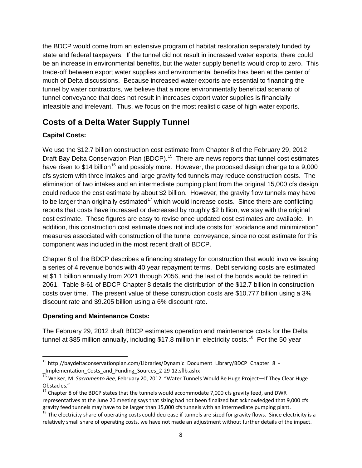the BDCP would come from an extensive program of habitat restoration separately funded by state and federal taxpayers. If the tunnel did not result in increased water exports, there could be an increase in environmental benefits, but the water supply benefits would drop to zero. This trade-off between export water supplies and environmental benefits has been at the center of much of Delta discussions. Because increased water exports are essential to financing the tunnel by water contractors, we believe that a more environmentally beneficial scenario of tunnel conveyance that does not result in increases export water supplies is financially infeasible and irrelevant. Thus, we focus on the most realistic case of high water exports.

# <span id="page-9-0"></span>**Costs of a Delta Water Supply Tunnel**

## <span id="page-9-1"></span>**Capital Costs:**

We use the \$12.7 billion construction cost estimate from Chapter 8 of the February 29, 2012 Draft Bay Delta Conservation Plan (BDCP).<sup>15</sup> There are news reports that tunnel cost estimates have risen to \$14 billion<sup>[16](#page-9-4)</sup> and possibly more. However, the proposed design change to a 9,000 cfs system with three intakes and large gravity fed tunnels may reduce construction costs. The elimination of two intakes and an intermediate pumping plant from the original 15,000 cfs design could reduce the cost estimate by about \$2 billion. However, the gravity flow tunnels may have to be larger than originally estimated<sup>[17](#page-9-5)</sup> which would increase costs. Since there are conflicting reports that costs have increased or decreased by roughly \$2 billion, we stay with the original cost estimate. These figures are easy to revise once updated cost estimates are available. In addition, this construction cost estimate does not include costs for "avoidance and minimization" measures associated with construction of the tunnel conveyance, since no cost estimate for this component was included in the most recent draft of BDCP.

Chapter 8 of the BDCP describes a financing strategy for construction that would involve issuing a series of 4 revenue bonds with 40 year repayment terms. Debt servicing costs are estimated at \$1.1 billion annually from 2021 through 2056, and the last of the bonds would be retired in 2061. Table 8-61 of BDCP Chapter 8 details the distribution of the \$12.7 billion in construction costs over time. The present value of these construction costs are \$10.777 billion using a 3% discount rate and \$9.205 billion using a 6% discount rate.

#### <span id="page-9-2"></span>**Operating and Maintenance Costs:**

The February 29, 2012 draft BDCP estimates operation and maintenance costs for the Delta tunnel at \$85 million annually, including \$17.8 million in electricity costs.<sup>[18](#page-9-6)</sup> For the 50 year

<span id="page-9-3"></span> <sup>15</sup> http://baydeltaconservationplan.com/Libraries/Dynamic\_Document\_Library/BDCP\_Chapter\_8\_- \_Implementation\_Costs\_and\_Funding\_Sources\_2-29-12.sflb.ashx

<span id="page-9-4"></span><sup>16</sup> Weiser, M. *Sacramento Bee,* February 20, 2012. "Water Tunnels Would Be Huge Project—If They Clear Huge Obstacles."

<span id="page-9-5"></span> $17$  Chapter 8 of the BDCP states that the tunnels would accommodate 7,000 cfs gravity feed, and DWR representatives at the June 20 meeting says that sizing had not been finalized but acknowledged that 9,000 cfs gravity feed tunnels may have to be larger than 15,000 cfs tunnels with an intermediate pumping plant.

<span id="page-9-6"></span> $^{18}$  The electricity share of operating costs could decrease if tunnels are sized for gravity flows. Since electricity is a relatively small share of operating costs, we have not made an adjustment without further details of the impact.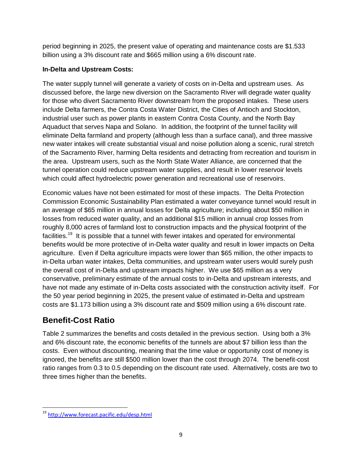period beginning in 2025, the present value of operating and maintenance costs are \$1.533 billion using a 3% discount rate and \$665 million using a 6% discount rate.

#### <span id="page-10-0"></span>**In-Delta and Upstream Costs:**

The water supply tunnel will generate a variety of costs on in-Delta and upstream uses. As discussed before, the large new diversion on the Sacramento River will degrade water quality for those who divert Sacramento River downstream from the proposed intakes. These users include Delta farmers, the Contra Costa Water District, the Cities of Antioch and Stockton, industrial user such as power plants in eastern Contra Costa County, and the North Bay Aquaduct that serves Napa and Solano. In addition, the footprint of the tunnel facility will eliminate Delta farmland and property (although less than a surface canal), and three massive new water intakes will create substantial visual and noise pollution along a scenic, rural stretch of the Sacramento River, harming Delta residents and detracting from recreation and tourism in the area. Upstream users, such as the North State Water Alliance, are concerned that the tunnel operation could reduce upstream water supplies, and result in lower reservoir levels which could affect hydroelectric power generation and recreational use of reservoirs.

Economic values have not been estimated for most of these impacts. The Delta Protection Commission Economic Sustainability Plan estimated a water conveyance tunnel would result in an average of \$65 million in annual losses for Delta agriculture; including about \$50 million in losses from reduced water quality, and an additional \$15 million in annual crop losses from roughly 8,000 acres of farmland lost to construction impacts and the physical footprint of the facilities.<sup>[19](#page-10-2)</sup> It is possible that a tunnel with fewer intakes and operated for environmental benefits would be more protective of in-Delta water quality and result in lower impacts on Delta agriculture. Even if Delta agriculture impacts were lower than \$65 million, the other impacts to in-Delta urban water intakes, Delta communities, and upstream water users would surely push the overall cost of in-Delta and upstream impacts higher. We use \$65 million as a very conservative, preliminary estimate of the annual costs to in-Delta and upstream interests, and have not made any estimate of in-Delta costs associated with the construction activity itself. For the 50 year period beginning in 2025, the present value of estimated in-Delta and upstream costs are \$1.173 billion using a 3% discount rate and \$509 million using a 6% discount rate.

# <span id="page-10-1"></span>**Benefit-Cost Ratio**

Table 2 summarizes the benefits and costs detailed in the previous section. Using both a 3% and 6% discount rate, the economic benefits of the tunnels are about \$7 billion less than the costs. Even without discounting, meaning that the time value or opportunity cost of money is ignored, the benefits are still \$500 million lower than the cost through 2074. The benefit-cost ratio ranges from 0.3 to 0.5 depending on the discount rate used. Alternatively, costs are two to three times higher than the benefits.

<span id="page-10-2"></span> <sup>19</sup> <http://www.forecast.pacific.edu/desp.html>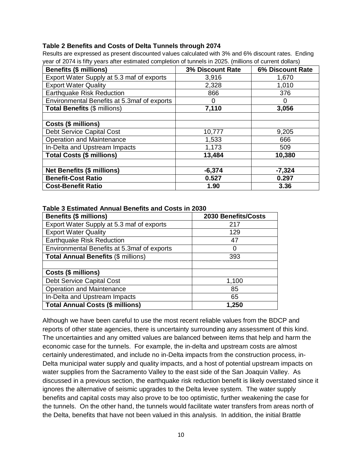#### <span id="page-11-0"></span>**Table 2 Benefits and Costs of Delta Tunnels through 2074**

Results are expressed as present discounted values calculated with 3% and 6% discount rates. Ending year of 2074 is fifty years after estimated completion of tunnels in 2025. (millions of current dollars)

| <b>Benefits (\$ millions)</b>               | 3% Discount Rate | 6% Discount Rate |
|---------------------------------------------|------------------|------------------|
| Export Water Supply at 5.3 maf of exports   | 3,916            | 1,670            |
| <b>Export Water Quality</b>                 | 2,328            | 1,010            |
| Earthquake Risk Reduction                   | 866              | 376              |
| Environmental Benefits at 5.3maf of exports | O                |                  |
| <b>Total Benefits (\$ millions)</b>         | 7,110            | 3,056            |
|                                             |                  |                  |
| Costs (\$ millions)                         |                  |                  |
| <b>Debt Service Capital Cost</b>            | 10,777           | 9,205            |
| <b>Operation and Maintenance</b>            | 1,533            | 666              |
| In-Delta and Upstream Impacts               | 1,173            | 509              |
| <b>Total Costs (\$ millions)</b>            | 13,484           | 10,380           |
|                                             |                  |                  |
| <b>Net Benefits (\$ millions)</b>           | $-6,374$         | $-7,324$         |
| <b>Benefit-Cost Ratio</b>                   | 0.527            | 0.297            |
| <b>Cost-Benefit Ratio</b>                   | 1.90             | 3.36             |

#### <span id="page-11-1"></span>**Table 3 Estimated Annual Benefits and Costs in 2030**

| <b>Benefits (\$ millions)</b>               | 2030 Benefits/Costs |
|---------------------------------------------|---------------------|
| Export Water Supply at 5.3 maf of exports   | 217                 |
| <b>Export Water Quality</b>                 | 129                 |
| <b>Earthquake Risk Reduction</b>            | 47                  |
| Environmental Benefits at 5.3maf of exports | O                   |
| <b>Total Annual Benefits (\$ millions)</b>  | 393                 |
|                                             |                     |
| Costs (\$ millions)                         |                     |
| Debt Service Capital Cost                   | 1,100               |
| Operation and Maintenance                   | 85                  |
| In-Delta and Upstream Impacts               | 65                  |
| <b>Total Annual Costs (\$ millions)</b>     | 1,250               |

Although we have been careful to use the most recent reliable values from the BDCP and reports of other state agencies, there is uncertainty surrounding any assessment of this kind. The uncertainties and any omitted values are balanced between items that help and harm the economic case for the tunnels. For example, the in-delta and upstream costs are almost certainly underestimated, and include no in-Delta impacts from the construction process, in-Delta municipal water supply and quality impacts, and a host of potential upstream impacts on water supplies from the Sacramento Valley to the east side of the San Joaquin Valley. As discussed in a previous section, the earthquake risk reduction benefit is likely overstated since it ignores the alternative of seismic upgrades to the Delta levee system. The water supply benefits and capital costs may also prove to be too optimistic, further weakening the case for the tunnels. On the other hand, the tunnels would facilitate water transfers from areas north of the Delta, benefits that have not been valued in this analysis. In addition, the initial Brattle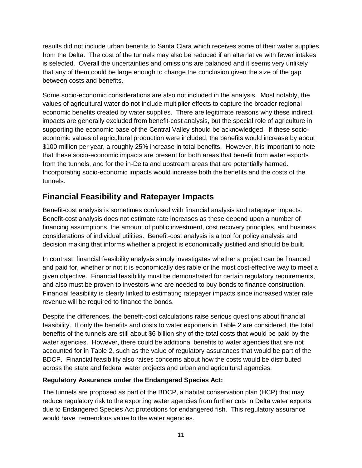results did not include urban benefits to Santa Clara which receives some of their water supplies from the Delta. The cost of the tunnels may also be reduced if an alternative with fewer intakes is selected. Overall the uncertainties and omissions are balanced and it seems very unlikely that any of them could be large enough to change the conclusion given the size of the gap between costs and benefits.

Some socio-economic considerations are also not included in the analysis. Most notably, the values of agricultural water do not include multiplier effects to capture the broader regional economic benefits created by water supplies. There are legitimate reasons why these indirect impacts are generally excluded from benefit-cost analysis, but the special role of agriculture in supporting the economic base of the Central Valley should be acknowledged. If these socioeconomic values of agricultural production were included, the benefits would increase by about \$100 million per year, a roughly 25% increase in total benefits. However, it is important to note that these socio-economic impacts are present for both areas that benefit from water exports from the tunnels, and for the in-Delta and upstream areas that are potentially harmed. Incorporating socio-economic impacts would increase both the benefits and the costs of the tunnels.

# <span id="page-12-0"></span>**Financial Feasibility and Ratepayer Impacts**

Benefit-cost analysis is sometimes confused with financial analysis and ratepayer impacts. Benefit-cost analysis does not estimate rate increases as these depend upon a number of financing assumptions, the amount of public investment, cost recovery principles, and business considerations of individual utilities. Benefit-cost analysis is a tool for policy analysis and decision making that informs whether a project is economically justified and should be built.

In contrast, financial feasibility analysis simply investigates whether a project can be financed and paid for, whether or not it is economically desirable or the most cost-effective way to meet a given objective. Financial feasibility must be demonstrated for certain regulatory requirements, and also must be proven to investors who are needed to buy bonds to finance construction. Financial feasibility is clearly linked to estimating ratepayer impacts since increased water rate revenue will be required to finance the bonds.

Despite the differences, the benefit-cost calculations raise serious questions about financial feasibility. If only the benefits and costs to water exporters in Table 2 are considered, the total benefits of the tunnels are still about \$6 billion shy of the total costs that would be paid by the water agencies. However, there could be additional benefits to water agencies that are not accounted for in Table 2, such as the value of regulatory assurances that would be part of the BDCP. Financial feasibility also raises concerns about how the costs would be distributed across the state and federal water projects and urban and agricultural agencies.

#### <span id="page-12-1"></span>**Regulatory Assurance under the Endangered Species Act:**

The tunnels are proposed as part of the BDCP, a habitat conservation plan (HCP) that may reduce regulatory risk to the exporting water agencies from further cuts in Delta water exports due to Endangered Species Act protections for endangered fish. This regulatory assurance would have tremendous value to the water agencies.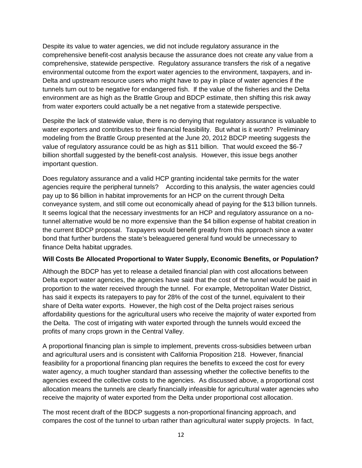Despite its value to water agencies, we did not include regulatory assurance in the comprehensive benefit-cost analysis because the assurance does not create any value from a comprehensive, statewide perspective. Regulatory assurance transfers the risk of a negative environmental outcome from the export water agencies to the environment, taxpayers, and in-Delta and upstream resource users who might have to pay in place of water agencies if the tunnels turn out to be negative for endangered fish. If the value of the fisheries and the Delta environment are as high as the Brattle Group and BDCP estimate, then shifting this risk away from water exporters could actually be a net negative from a statewide perspective.

Despite the lack of statewide value, there is no denying that regulatory assurance is valuable to water exporters and contributes to their financial feasibility. But what is it worth? Preliminary modeling from the Brattle Group presented at the June 20, 2012 BDCP meeting suggests the value of regulatory assurance could be as high as \$11 billion. That would exceed the \$6-7 billion shortfall suggested by the benefit-cost analysis. However, this issue begs another important question.

Does regulatory assurance and a valid HCP granting incidental take permits for the water agencies require the peripheral tunnels? According to this analysis, the water agencies could pay up to \$6 billion in habitat improvements for an HCP on the current through Delta conveyance system, and still come out economically ahead of paying for the \$13 billion tunnels. It seems logical that the necessary investments for an HCP and regulatory assurance on a notunnel alternative would be no more expensive than the \$4 billion expense of habitat creation in the current BDCP proposal. Taxpayers would benefit greatly from this approach since a water bond that further burdens the state's beleaguered general fund would be unnecessary to finance Delta habitat upgrades.

#### <span id="page-13-0"></span>**Will Costs Be Allocated Proportional to Water Supply, Economic Benefits, or Population?**

Although the BDCP has yet to release a detailed financial plan with cost allocations between Delta export water agencies, the agencies have said that the cost of the tunnel would be paid in proportion to the water received through the tunnel. For example, Metropolitan Water District, has said it expects its ratepayers to pay for 28% of the cost of the tunnel, equivalent to their share of Delta water exports. However, the high cost of the Delta project raises serious affordability questions for the agricultural users who receive the majority of water exported from the Delta. The cost of irrigating with water exported through the tunnels would exceed the profits of many crops grown in the Central Valley.

A proportional financing plan is simple to implement, prevents cross-subsidies between urban and agricultural users and is consistent with California Proposition 218. However, financial feasibility for a proportional financing plan requires the benefits to exceed the cost for every water agency, a much tougher standard than assessing whether the collective benefits to the agencies exceed the collective costs to the agencies. As discussed above, a proportional cost allocation means the tunnels are clearly financially infeasible for agricultural water agencies who receive the majority of water exported from the Delta under proportional cost allocation.

The most recent draft of the BDCP suggests a non-proportional financing approach, and compares the cost of the tunnel to urban rather than agricultural water supply projects. In fact,